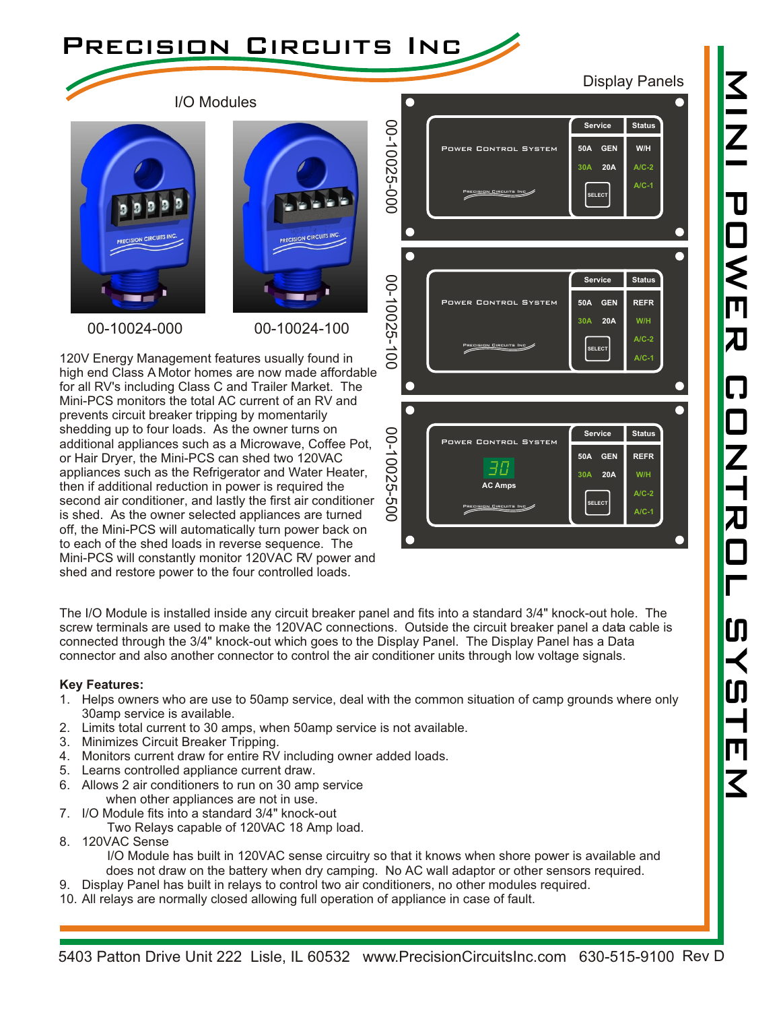

Display Panels

 $\frac{Z}{Z}$ 

I/O Modules





00-10024-000 00-10024-100

120V Energy Management features usually found in high end Class A Motor homes are now made affordable for all RV's including Class C and Trailer Market. The Mini-PCS monitors the total AC current of an RV and prevents circuit breaker tripping by momentarily shedding up to four loads. As the owner turns on additional appliances such as a Microwave, Coffee Pot, or Hair Dryer, the Mini-PCS can shed two 120VAC appliances such as the Refrigerator and Water Heater, then if additional reduction in power is required the second air conditioner, and lastly the first air conditioner is shed. As the owner selected appliances are turned off, the Mini-PCS will automatically turn power back on to each of the shed loads in reverse sequence. The Mini-PCS will constantly monitor 120VAC RV power and shed and restore power to the four controlled loads.



The I/O Module is installed inside any circuit breaker panel and fits into a standard 3/4" knock-out hole. The screw terminals are used to make the 120VAC connections. Outside the circuit breaker panel a data cable is connected through the 3/4" knock-out which goes to the Display Panel. The Display Panel has a Data connector and also another connector to control the air conditioner units through low voltage signals.

## **Key Features:**

- 1. Helps owners who are use to 50amp service, deal with the common situation of camp grounds where only 30amp service is available.
- 2. Limits total current to 30 amps, when 50amp service is not available.
- 3. Minimizes Circuit Breaker Tripping.
- 4. Monitors current draw for entire RV including owner added loads.
- 5. Learns controlled appliance current draw.
- 6. Allows 2 air conditioners to run on 30 amp service
	- when other appliances are not in use.
- 7. I/O Module fits into a standard 3/4" knock-out Two Relays capable of 120VAC 18 Amp load.
- 8. 120VAC Sense

I/O Module has built in 120VAC sense circuitry so that it knows when shore power is available and does not draw on the battery when dry camping. No AC wall adaptor or other sensors required.

- 9. Display Panel has built in relays to control two air conditioners, no other modules required.
- 10. All relays are normally closed allowing full operation of appliance in case of fault.